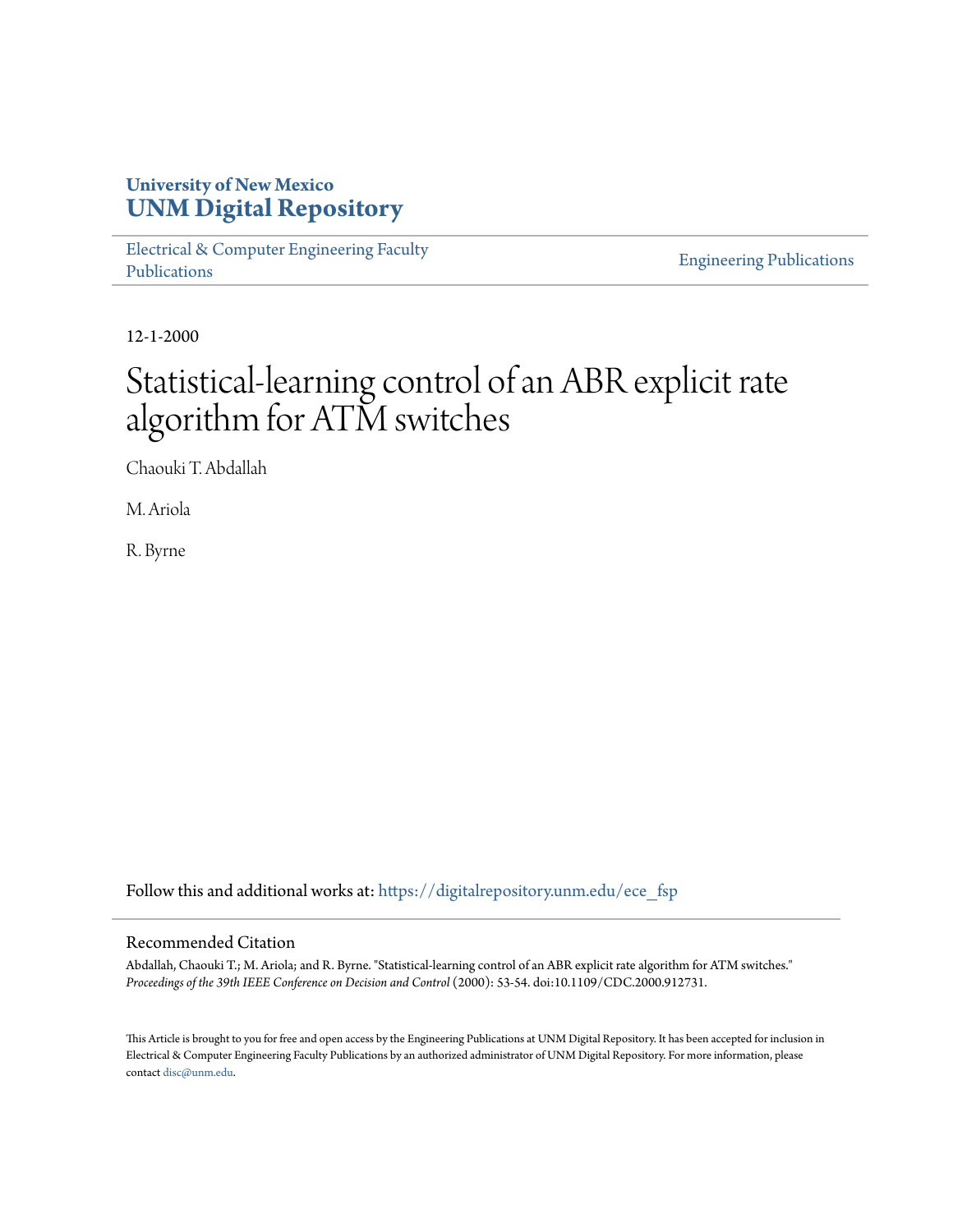## **University of New Mexico [UNM Digital Repository](https://digitalrepository.unm.edu?utm_source=digitalrepository.unm.edu%2Fece_fsp%2F182&utm_medium=PDF&utm_campaign=PDFCoverPages)**

[Electrical & Computer Engineering Faculty](https://digitalrepository.unm.edu/ece_fsp?utm_source=digitalrepository.unm.edu%2Fece_fsp%2F182&utm_medium=PDF&utm_campaign=PDFCoverPages) [Publications](https://digitalrepository.unm.edu/ece_fsp?utm_source=digitalrepository.unm.edu%2Fece_fsp%2F182&utm_medium=PDF&utm_campaign=PDFCoverPages)

[Engineering Publications](https://digitalrepository.unm.edu/eng_fsp?utm_source=digitalrepository.unm.edu%2Fece_fsp%2F182&utm_medium=PDF&utm_campaign=PDFCoverPages)

12-1-2000

# Statistical-learning control of an ABR explicit rate algorithm for ATM switches

Chaouki T. Abdallah

M. Ariola

R. Byrne

Follow this and additional works at: [https://digitalrepository.unm.edu/ece\\_fsp](https://digitalrepository.unm.edu/ece_fsp?utm_source=digitalrepository.unm.edu%2Fece_fsp%2F182&utm_medium=PDF&utm_campaign=PDFCoverPages)

### Recommended Citation

Abdallah, Chaouki T.; M. Ariola; and R. Byrne. "Statistical-learning control of an ABR explicit rate algorithm for ATM switches." *Proceedings of the 39th IEEE Conference on Decision and Control* (2000): 53-54. doi:10.1109/CDC.2000.912731.

This Article is brought to you for free and open access by the Engineering Publications at UNM Digital Repository. It has been accepted for inclusion in Electrical & Computer Engineering Faculty Publications by an authorized administrator of UNM Digital Repository. For more information, please contact [disc@unm.edu.](mailto:disc@unm.edu)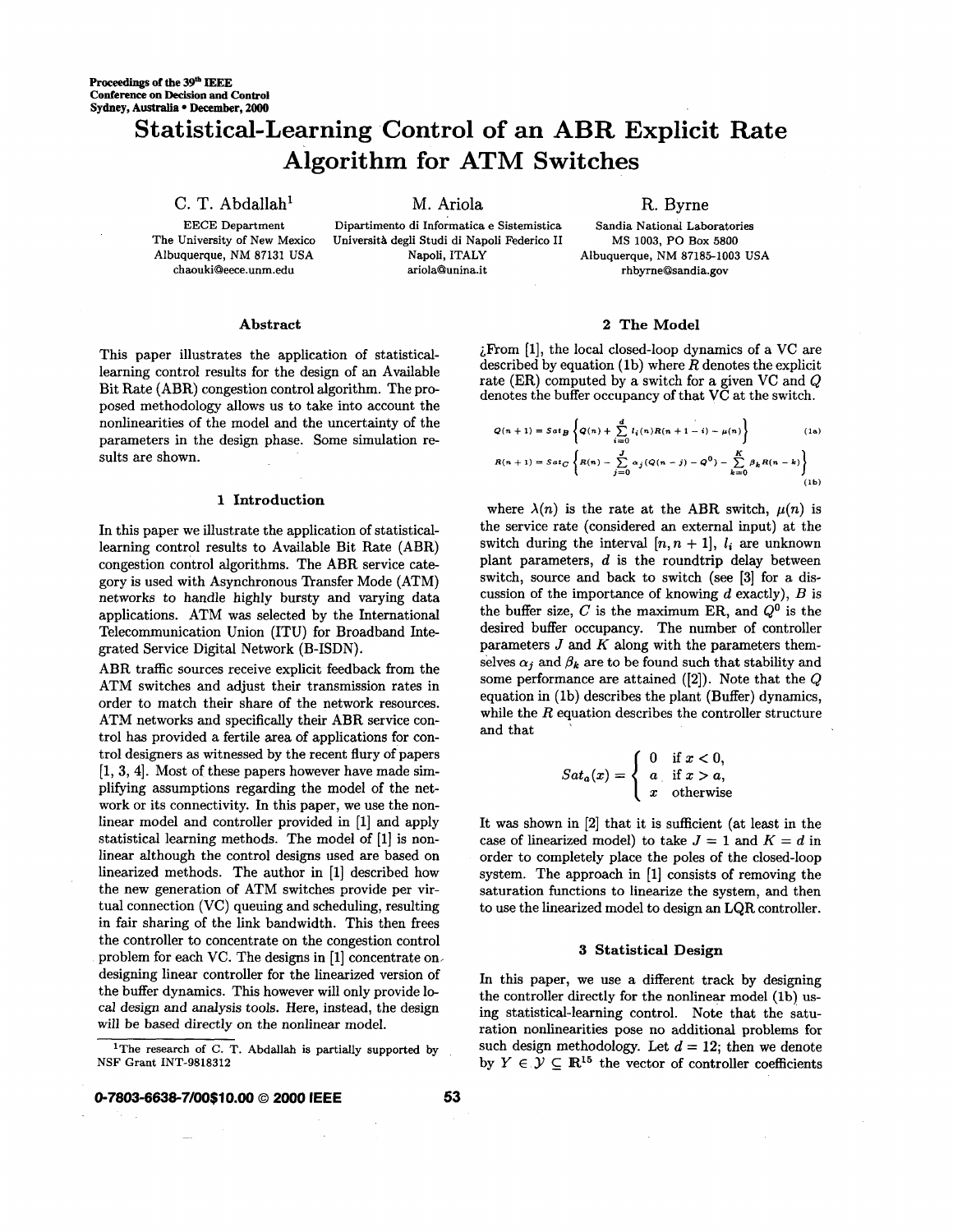## **Statistical-Learning Control of an ABR Explicit Rate Algorithm for ATM Switches**

C. T. Abdallah<sup>1</sup> M. Ariola **R. Byrne** 

**The University of New Mexico** 

**EECE Department Dipartimento di Informatica e Sistemistica Sandia National Laboratories Albuquerque, NM 87131 USA Napoli, ITALY Albuquerque, NM 87185-1003 USA**  Università degli Studi di Napoli Federico II **[chaoukiQeece.unm.edu](http://chaoukiQeece.unm.edu) ariolaQunina.it [rhbyrneQsandia.gov](http://rhbyrneQsandia.gov)** 

**MS 1003, PO Box 5800** 

#### **Abstract**

This paper illustrates the application of statisticallearning control results for the design of an Available Bit Rate (ABR) congestion control algorithm. The proposed methodology allows us to take into account the nonlinearities *of* the model and the uncertainty of the parameters in the design phase. Some simulation **re**sults are shown.

#### **1 Introduction**

In this paper we illustrate the application of statisticallearning control results to Available Bit Rate (ABR) congestion control algorithms. The ABR service category is used with Asynchronous Transfer Mode (ATM) networks to handle highly bursty and varying data applications. ATM was selected by the International Telecommunication Union (ITU) for Broadband Integrated Service Digital Network (B-ISDN).

ABR traffic sources receive explicit feedback from the ATM switches and adjust their transmission rates in order to match their share of the network resources. ATM networks and specifically their ABR service control has provided a fertile area of applications for control designers as witnessed by the recent flury of papers [l, **3, 41.** Most of these papers however have made simplifying assumptions regarding the model of the network or its connectivity. In this paper, we use the nonlinear model and controller provided in [l] and apply statistical learning methods. The model of [l] is nonlinear although the control designs used are based on linearized methods. The author in [l] described how the new generation of ATM switches provide per virtual connection **(VC)** queuing and scheduling, resulting in fair sharing of the link bandwidth. This then frees the controller to concentrate on the congestion control problem for each **VC.** The designs in [l] concentrate on, designing linear controller for the linearized version of the buffer dynamics. This however will only provide local design and analysis tools. Here, instead, the design will be based directly on the nonlinear model.

#### **2 The Model**

LF'rom [l], the local closed-loop dynamics of a **VC** are described by equation (1b) where  $R$  denotes the explicit rate (ER) computed **by** a switch for a given **VC** and *Q*  denotes the buffer occupancy of that **VC** at the switch.

$$
Q(n + 1) = S \, \mathrm{d}t \, \mathcal{B} \left\{ Q(n) + \sum_{i=0}^{d} l_i(n) R(n + 1 - i) - \mu(n) \right\} \tag{1a}
$$
\n
$$
R(n + 1) = S \, \mathrm{d}t \, \mathcal{C} \left\{ R(n) - \sum_{j=0}^{J} \alpha_j (Q(n - j) - Q^0) - \sum_{k=0}^{K} \beta_k R(n - k) \right\} \tag{1b}
$$

where  $\lambda(n)$  is the rate at the ABR switch,  $\mu(n)$  is the service rate (considered an external input) at the switch during the interval  $[n, n + 1]$ ,  $l_i$  are unknown plant parameters,  $d$  is the roundtrip delay between switch, source and back to switch (see [3] for a discussion of the importance of knowing d exactly), *B* is the buffer size, *C* is the maximum ER, and *Q0* is the desired buffer occupancy. The number of controller parameters J and *K* along with the parameters themselves  $\alpha_i$  and  $\beta_k$  are to be found such that stability and some performance are attained **([2]).** Note that the Q equation in (lb) describes the plant (Buffer) dynamics, while the  $R$  equation describes the controller structure and that

$$
Sat_a(x) = \begin{cases} 0 & \text{if } x < 0, \\ a & \text{if } x > a, \\ x & \text{otherwise} \end{cases}
$$

It was shown in **[2]** that it is sufficient (at least in the case of linearized model) to take  $J = 1$  and  $K = d$  in order to completely place the poles of the closed-loop system. The approach in [l] consists of removing the saturation functions to linearize the system, and then to use the linearized model to design an LQR controller.

#### **3 Statistical Design**

In this paper, we use a different track by designing the controller directly for the nonlinear model (lb) using statistical-learning control. Note that the saturation nonlinearities pose no additional problems for such design methodology. Let  $d = 12$ ; then we denote by  $Y \in \mathcal{Y} \subseteq \mathbb{R}^{15}$  the vector of controller coefficients

**<sup>&#</sup>x27;The research of C. T. Abdallah is partially supported by NSF Grant INT-9818312**